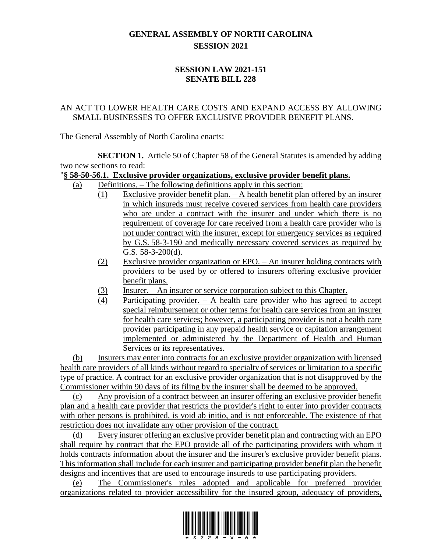## **GENERAL ASSEMBLY OF NORTH CAROLINA SESSION 2021**

### **SESSION LAW 2021-151 SENATE BILL 228**

#### AN ACT TO LOWER HEALTH CARE COSTS AND EXPAND ACCESS BY ALLOWING SMALL BUSINESSES TO OFFER EXCLUSIVE PROVIDER BENEFIT PLANS.

The General Assembly of North Carolina enacts:

**SECTION 1.** Article 50 of Chapter 58 of the General Statutes is amended by adding two new sections to read:

#### "**§ 58-50-56.1. Exclusive provider organizations, exclusive provider benefit plans.**

- (a) Definitions. The following definitions apply in this section:
	- (1) Exclusive provider benefit plan. A health benefit plan offered by an insurer in which insureds must receive covered services from health care providers who are under a contract with the insurer and under which there is no requirement of coverage for care received from a health care provider who is not under contract with the insurer, except for emergency services as required by G.S. 58-3-190 and medically necessary covered services as required by G.S. 58-3-200(d).
	- (2) Exclusive provider organization or EPO. An insurer holding contracts with providers to be used by or offered to insurers offering exclusive provider benefit plans.
	- (3) Insurer. An insurer or service corporation subject to this Chapter.
	- (4) Participating provider. A health care provider who has agreed to accept special reimbursement or other terms for health care services from an insurer for health care services; however, a participating provider is not a health care provider participating in any prepaid health service or capitation arrangement implemented or administered by the Department of Health and Human Services or its representatives.

(b) Insurers may enter into contracts for an exclusive provider organization with licensed health care providers of all kinds without regard to specialty of services or limitation to a specific type of practice. A contract for an exclusive provider organization that is not disapproved by the Commissioner within 90 days of its filing by the insurer shall be deemed to be approved.

(c) Any provision of a contract between an insurer offering an exclusive provider benefit plan and a health care provider that restricts the provider's right to enter into provider contracts with other persons is prohibited, is void ab initio, and is not enforceable. The existence of that restriction does not invalidate any other provision of the contract.

(d) Every insurer offering an exclusive provider benefit plan and contracting with an EPO shall require by contract that the EPO provide all of the participating providers with whom it holds contracts information about the insurer and the insurer's exclusive provider benefit plans. This information shall include for each insurer and participating provider benefit plan the benefit designs and incentives that are used to encourage insureds to use participating providers.

(e) The Commissioner's rules adopted and applicable for preferred provider organizations related to provider accessibility for the insured group, adequacy of providers,

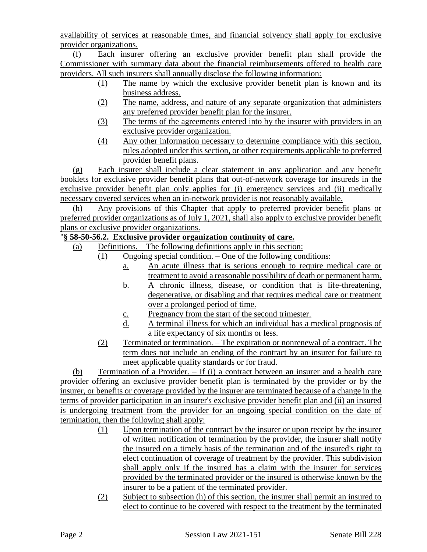availability of services at reasonable times, and financial solvency shall apply for exclusive provider organizations.

(f) Each insurer offering an exclusive provider benefit plan shall provide the Commissioner with summary data about the financial reimbursements offered to health care providers. All such insurers shall annually disclose the following information:

- (1) The name by which the exclusive provider benefit plan is known and its business address.
- (2) The name, address, and nature of any separate organization that administers any preferred provider benefit plan for the insurer.
- (3) The terms of the agreements entered into by the insurer with providers in an exclusive provider organization.
- (4) Any other information necessary to determine compliance with this section, rules adopted under this section, or other requirements applicable to preferred provider benefit plans.

(g) Each insurer shall include a clear statement in any application and any benefit booklets for exclusive provider benefit plans that out-of-network coverage for insureds in the exclusive provider benefit plan only applies for (i) emergency services and (ii) medically necessary covered services when an in-network provider is not reasonably available.

(h) Any provisions of this Chapter that apply to preferred provider benefit plans or preferred provider organizations as of July 1, 2021, shall also apply to exclusive provider benefit plans or exclusive provider organizations.

# "**§ 58-50-56.2. Exclusive provider organization continuity of care.**

- (a) Definitions. The following definitions apply in this section:
	- (1) Ongoing special condition. One of the following conditions:
		- a. An acute illness that is serious enough to require medical care or treatment to avoid a reasonable possibility of death or permanent harm.
		- b. A chronic illness, disease, or condition that is life-threatening, degenerative, or disabling and that requires medical care or treatment over a prolonged period of time.
		- c. Pregnancy from the start of the second trimester.
		- d. A terminal illness for which an individual has a medical prognosis of a life expectancy of six months or less.
	- (2) Terminated or termination. The expiration or nonrenewal of a contract. The term does not include an ending of the contract by an insurer for failure to meet applicable quality standards or for fraud.

(b) Termination of a Provider. – If (i) a contract between an insurer and a health care provider offering an exclusive provider benefit plan is terminated by the provider or by the insurer, or benefits or coverage provided by the insurer are terminated because of a change in the terms of provider participation in an insurer's exclusive provider benefit plan and (ii) an insured is undergoing treatment from the provider for an ongoing special condition on the date of termination, then the following shall apply:

- (1) Upon termination of the contract by the insurer or upon receipt by the insurer of written notification of termination by the provider, the insurer shall notify the insured on a timely basis of the termination and of the insured's right to elect continuation of coverage of treatment by the provider. This subdivision shall apply only if the insured has a claim with the insurer for services provided by the terminated provider or the insured is otherwise known by the insurer to be a patient of the terminated provider.
- (2) Subject to subsection (h) of this section, the insurer shall permit an insured to elect to continue to be covered with respect to the treatment by the terminated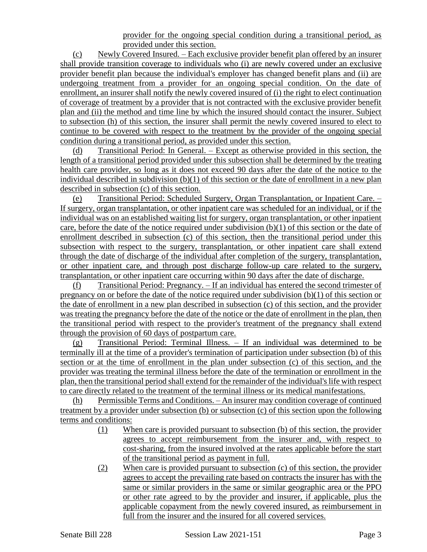provider for the ongoing special condition during a transitional period, as provided under this section.

(c) Newly Covered Insured. – Each exclusive provider benefit plan offered by an insurer shall provide transition coverage to individuals who (i) are newly covered under an exclusive provider benefit plan because the individual's employer has changed benefit plans and (ii) are undergoing treatment from a provider for an ongoing special condition. On the date of enrollment, an insurer shall notify the newly covered insured of (i) the right to elect continuation of coverage of treatment by a provider that is not contracted with the exclusive provider benefit plan and (ii) the method and time line by which the insured should contact the insurer. Subject to subsection (h) of this section, the insurer shall permit the newly covered insured to elect to continue to be covered with respect to the treatment by the provider of the ongoing special condition during a transitional period, as provided under this section.

(d) Transitional Period: In General. – Except as otherwise provided in this section, the length of a transitional period provided under this subsection shall be determined by the treating health care provider, so long as it does not exceed 90 days after the date of the notice to the individual described in subdivision (b)(1) of this section or the date of enrollment in a new plan described in subsection (c) of this section.

(e) Transitional Period: Scheduled Surgery, Organ Transplantation, or Inpatient Care. – If surgery, organ transplantation, or other inpatient care was scheduled for an individual, or if the individual was on an established waiting list for surgery, organ transplantation, or other inpatient care, before the date of the notice required under subdivision  $(b)(1)$  of this section or the date of enrollment described in subsection (c) of this section, then the transitional period under this subsection with respect to the surgery, transplantation, or other inpatient care shall extend through the date of discharge of the individual after completion of the surgery, transplantation, or other inpatient care, and through post discharge follow-up care related to the surgery, transplantation, or other inpatient care occurring within 90 days after the date of discharge.

(f) Transitional Period: Pregnancy. – If an individual has entered the second trimester of pregnancy on or before the date of the notice required under subdivision (b)(1) of this section or the date of enrollment in a new plan described in subsection (c) of this section, and the provider was treating the pregnancy before the date of the notice or the date of enrollment in the plan, then the transitional period with respect to the provider's treatment of the pregnancy shall extend through the provision of 60 days of postpartum care.

(g) Transitional Period: Terminal Illness. – If an individual was determined to be terminally ill at the time of a provider's termination of participation under subsection (b) of this section or at the time of enrollment in the plan under subsection (c) of this section, and the provider was treating the terminal illness before the date of the termination or enrollment in the plan, then the transitional period shall extend for the remainder of the individual's life with respect to care directly related to the treatment of the terminal illness or its medical manifestations.

(h) Permissible Terms and Conditions. – An insurer may condition coverage of continued treatment by a provider under subsection (b) or subsection (c) of this section upon the following terms and conditions:

- (1) When care is provided pursuant to subsection (b) of this section, the provider agrees to accept reimbursement from the insurer and, with respect to cost-sharing, from the insured involved at the rates applicable before the start of the transitional period as payment in full.
- (2) When care is provided pursuant to subsection (c) of this section, the provider agrees to accept the prevailing rate based on contracts the insurer has with the same or similar providers in the same or similar geographic area or the PPO or other rate agreed to by the provider and insurer, if applicable, plus the applicable copayment from the newly covered insured, as reimbursement in full from the insurer and the insured for all covered services.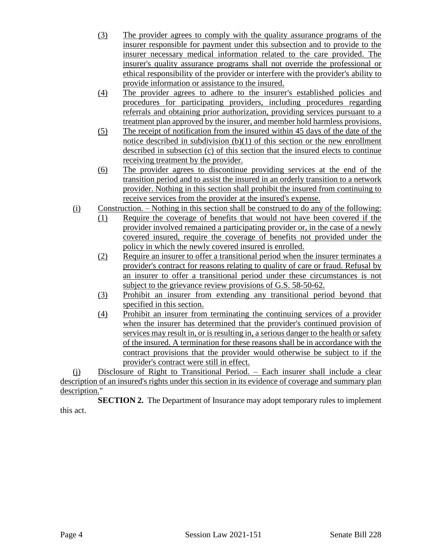- (3) The provider agrees to comply with the quality assurance programs of the insurer responsible for payment under this subsection and to provide to the insurer necessary medical information related to the care provided. The insurer's quality assurance programs shall not override the professional or ethical responsibility of the provider or interfere with the provider's ability to provide information or assistance to the insured.
- (4) The provider agrees to adhere to the insurer's established policies and procedures for participating providers, including procedures regarding referrals and obtaining prior authorization, providing services pursuant to a treatment plan approved by the insurer, and member hold harmless provisions.
- (5) The receipt of notification from the insured within 45 days of the date of the notice described in subdivision (b)(1) of this section or the new enrollment described in subsection (c) of this section that the insured elects to continue receiving treatment by the provider.
- (6) The provider agrees to discontinue providing services at the end of the transition period and to assist the insured in an orderly transition to a network provider. Nothing in this section shall prohibit the insured from continuing to receive services from the provider at the insured's expense.
- (i) Construction. Nothing in this section shall be construed to do any of the following:
	- (1) Require the coverage of benefits that would not have been covered if the provider involved remained a participating provider or, in the case of a newly covered insured, require the coverage of benefits not provided under the policy in which the newly covered insured is enrolled.
	- (2) Require an insurer to offer a transitional period when the insurer terminates a provider's contract for reasons relating to quality of care or fraud. Refusal by an insurer to offer a transitional period under these circumstances is not subject to the grievance review provisions of G.S. 58-50-62.
	- (3) Prohibit an insurer from extending any transitional period beyond that specified in this section.
	- (4) Prohibit an insurer from terminating the continuing services of a provider when the insurer has determined that the provider's continued provision of services may result in, or is resulting in, a serious danger to the health or safety of the insured. A termination for these reasons shall be in accordance with the contract provisions that the provider would otherwise be subject to if the provider's contract were still in effect.

(j) Disclosure of Right to Transitional Period. – Each insurer shall include a clear description of an insured's rights under this section in its evidence of coverage and summary plan description."

**SECTION 2.** The Department of Insurance may adopt temporary rules to implement this act.